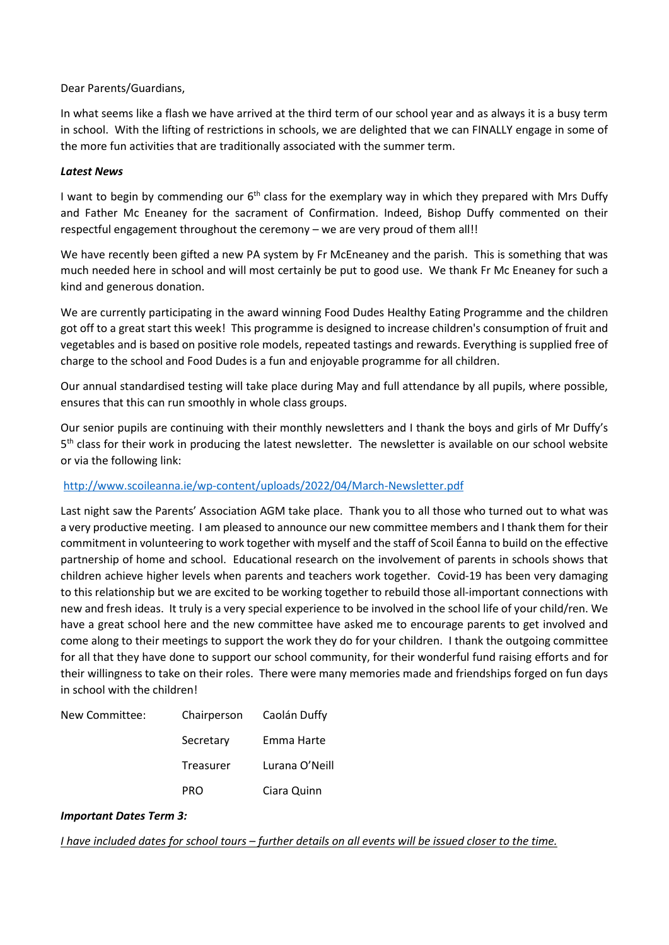## Dear Parents/Guardians,

In what seems like a flash we have arrived at the third term of our school year and as always it is a busy term in school. With the lifting of restrictions in schools, we are delighted that we can FINALLY engage in some of the more fun activities that are traditionally associated with the summer term.

## *Latest News*

I want to begin by commending our  $6<sup>th</sup>$  class for the exemplary way in which they prepared with Mrs Duffy and Father Mc Eneaney for the sacrament of Confirmation. Indeed, Bishop Duffy commented on their respectful engagement throughout the ceremony – we are very proud of them all!!

We have recently been gifted a new PA system by Fr McEneaney and the parish. This is something that was much needed here in school and will most certainly be put to good use. We thank Fr Mc Eneaney for such a kind and generous donation.

We are currently participating in the award winning Food Dudes Healthy Eating Programme and the children got off to a great start this week! This programme is designed to increase children's consumption of fruit and vegetables and is based on positive role models, repeated tastings and rewards. Everything is supplied free of charge to the school and Food Dudes is a fun and enjoyable programme for all children.

Our annual standardised testing will take place during May and full attendance by all pupils, where possible, ensures that this can run smoothly in whole class groups.

Our senior pupils are continuing with their monthly newsletters and I thank the boys and girls of Mr Duffy's 5<sup>th</sup> class for their work in producing the latest newsletter. The newsletter is available on our school website or via the following link:

# <http://www.scoileanna.ie/wp-content/uploads/2022/04/March-Newsletter.pdf>

Last night saw the Parents' Association AGM take place. Thank you to all those who turned out to what was a very productive meeting. I am pleased to announce our new committee members and I thank them for their commitment in volunteering to work together with myself and the staff of Scoil Éanna to build on the effective partnership of home and school. Educational research on the involvement of parents in schools shows that children achieve higher levels when parents and teachers work together. Covid-19 has been very damaging to this relationship but we are excited to be working together to rebuild those all-important connections with new and fresh ideas. It truly is a very special experience to be involved in the school life of your child/ren. We have a great school here and the new committee have asked me to encourage parents to get involved and come along to their meetings to support the work they do for your children. I thank the outgoing committee for all that they have done to support our school community, for their wonderful fund raising efforts and for their willingness to take on their roles. There were many memories made and friendships forged on fun days in school with the children!

| New Committee: |            | Chairperson Caolán Duffy |
|----------------|------------|--------------------------|
|                | Secretary  | Emma Harte               |
|                | Treasurer  | Lurana O'Neill           |
|                | <b>PRO</b> | Ciara Quinn              |

#### *Important Dates Term 3:*

*I have included dates for school tours – further details on all events will be issued closer to the time.*